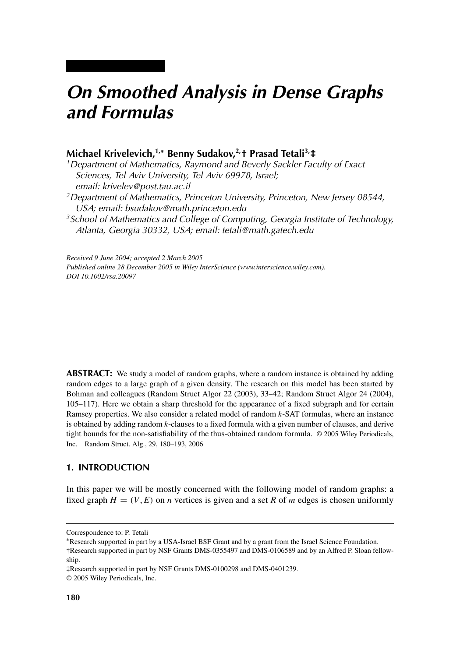# *On Smoothed Analysis in Dense Graphs and Formulas*

## **Michael Krivelevich,1,<sup>∗</sup> Benny Sudakov,2,† Prasad Tetali3,‡**

*1Department of Mathematics, Raymond and Beverly Sackler Faculty of Exact Sciences, Tel Aviv University, Tel Aviv 69978, Israel; email: krivelev@post.tau.ac.il 2Department of Mathematics, Princeton University, Princeton, New Jersey 08544, USA; email: bsudakov@math.princeton.edu 3School of Mathematics and College of Computing, Georgia Institute of Technology, Atlanta, Georgia 30332, USA; email: tetali@math.gatech.edu*

*Received 9 June 2004; accepted 2 March 2005 Published online 28 December 2005 in Wiley InterScience (www.interscience.wiley.com). DOI 10.1002/rsa.20097*

**ABSTRACT:** We study a model of random graphs, where a random instance is obtained by adding random edges to a large graph of a given density. The research on this model has been started by Bohman and colleagues (Random Struct Algor 22 (2003), 33–42; Random Struct Algor 24 (2004), 105–117). Here we obtain a sharp threshold for the appearance of a fixed subgraph and for certain Ramsey properties. We also consider a related model of random *k*-SAT formulas, where an instance is obtained by adding random *k*-clauses to a fixed formula with a given number of clauses, and derive tight bounds for the non-satisfiability of the thus-obtained random formula. © 2005 Wiley Periodicals, Inc. Random Struct. Alg., 29, 180–193, 2006

## **1. INTRODUCTION**

In this paper we will be mostly concerned with the following model of random graphs: a fixed graph  $H = (V, E)$  on *n* vertices is given and a set R of *m* edges is chosen uniformly

Correspondence to: P. Tetali

<sup>∗</sup>Research supported in part by a USA-Israel BSF Grant and by a grant from the Israel Science Foundation. †Research supported in part by NSF Grants DMS-0355497 and DMS-0106589 and by an Alfred P. Sloan fellowship.

<sup>‡</sup>Research supported in part by NSF Grants DMS-0100298 and DMS-0401239.

<sup>© 2005</sup> Wiley Periodicals, Inc.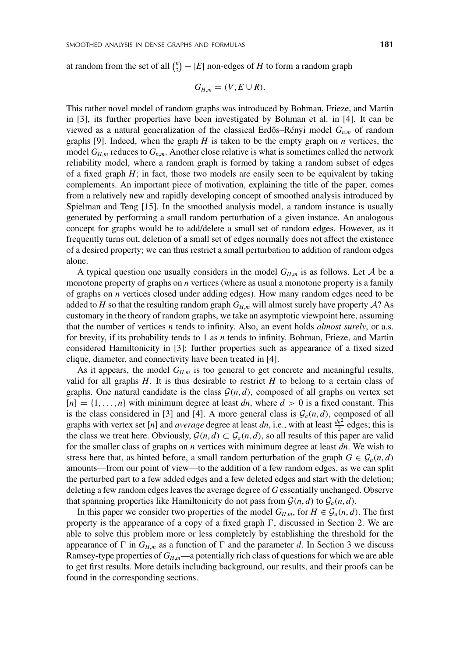at random from the set of all  $\binom{n}{2} - |E|$  non-edges of *H* to form a random graph

$$
G_{H,m}=(V,E\cup R).
$$

This rather novel model of random graphs was introduced by Bohman, Frieze, and Martin in [3], its further properties have been investigated by Bohman et al. in [4]. It can be viewed as a natural generalization of the classical Erdős–Rényi model  $G_{n,m}$  of random graphs [9]. Indeed, when the graph  $H$  is taken to be the empty graph on  $n$  vertices, the model  $G_{H,m}$  reduces to  $G_{n,m}$ . Another close relative is what is sometimes called the network reliability model, where a random graph is formed by taking a random subset of edges of a fixed graph  $H$ ; in fact, those two models are easily seen to be equivalent by taking complements. An important piece of motivation, explaining the title of the paper, comes from a relatively new and rapidly developing concept of smoothed analysis introduced by Spielman and Teng [15]. In the smoothed analysis model, a random instance is usually generated by performing a small random perturbation of a given instance. An analogous concept for graphs would be to add/delete a small set of random edges. However, as it frequently turns out, deletion of a small set of edges normally does not affect the existence of a desired property; we can thus restrict a small perturbation to addition of random edges alone.

A typical question one usually considers in the model  $G_{H,m}$  is as follows. Let A be a monotone property of graphs on *n* vertices (where as usual a monotone property is a family of graphs on *n* vertices closed under adding edges). How many random edges need to be added to *H* so that the resulting random graph  $G_{H,m}$  will almost surely have property A? As customary in the theory of random graphs, we take an asymptotic viewpoint here, assuming that the number of vertices *n* tends to infinity. Also, an event holds *almost surely*, or a.s. for brevity, if its probability tends to 1 as *n* tends to infinity. Bohman, Frieze, and Martin considered Hamiltonicity in [3]; further properties such as appearance of a fixed sized clique, diameter, and connectivity have been treated in [4].

As it appears, the model  $G_{H,m}$  is too general to get concrete and meaningful results, valid for all graphs  $H$ . It is thus desirable to restrict  $H$  to belong to a certain class of graphs. One natural candidate is the class  $\mathcal{G}(n, d)$ , composed of all graphs on vertex set  $[n] = \{1, \ldots, n\}$  with minimum degree at least *dn*, where  $d > 0$  is a fixed constant. This is the class considered in [3] and [4]. A more general class is  $\mathcal{G}_a(n, d)$ , composed of all graphs with vertex set [*n*] and *average* degree at least *dn*, i.e., with at least  $\frac{dn^2}{2}$  edges; this is the class we treat here. Obviously,  $\mathcal{G}(n, d) \subset \mathcal{G}_a(n, d)$ , so all results of this paper are valid for the smaller class of graphs on *n* vertices with minimum degree at least *dn*. We wish to stress here that, as hinted before, a small random perturbation of the graph  $G \in \mathcal{G}_a(n,d)$ amounts—from our point of view—to the addition of a few random edges, as we can split the perturbed part to a few added edges and a few deleted edges and start with the deletion; deleting a few random edges leaves the average degree of *G* essentially unchanged. Observe that spanning properties like Hamiltonicity do not pass from  $\mathcal{G}(n, d)$  to  $\mathcal{G}_a(n, d)$ .

In this paper we consider two properties of the model  $G_{H,m}$ , for  $H \in \mathcal{G}_a(n,d)$ . The first property is the appearance of a copy of a fixed graph  $\Gamma$ , discussed in Section 2. We are able to solve this problem more or less completely by establishing the threshold for the appearance of  $\Gamma$  in  $G_{H,m}$  as a function of  $\Gamma$  and the parameter *d*. In Section 3 we discuss Ramsey-type properties of  $G_{H,m}$ —a potentially rich class of questions for which we are able to get first results. More details including background, our results, and their proofs can be found in the corresponding sections.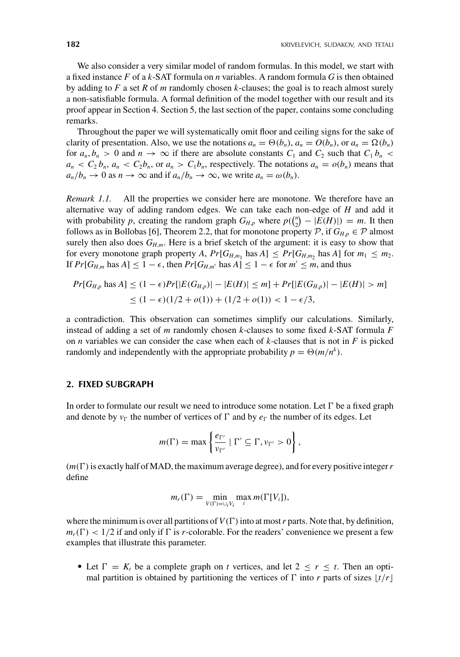We also consider a very similar model of random formulas. In this model, we start with a fixed instance *F* of a *k*-SAT formula on *n* variables. A random formula *G* is then obtained by adding to *F* a set *R* of *m* randomly chosen *k*-clauses; the goal is to reach almost surely a non-satisfiable formula. A formal definition of the model together with our result and its proof appear in Section 4. Section 5, the last section of the paper, contains some concluding remarks.

Throughout the paper we will systematically omit floor and ceiling signs for the sake of clarity of presentation. Also, we use the notations  $a_n = \Theta(b_n)$ ,  $a_n = O(b_n)$ , or  $a_n = \Omega(b_n)$ for  $a_n, b_n > 0$  and  $n \to \infty$  if there are absolute constants  $C_1$  and  $C_2$  such that  $C_1 b_n <$  $a_n < C_2 b_n$ ,  $a_n < C_2 b_n$ , or  $a_n > C_1 b_n$ , respectively. The notations  $a_n = o(b_n)$  means that  $a_n/b_n \to 0$  as  $n \to \infty$  and if  $a_n/b_n \to \infty$ , we write  $a_n = \omega(b_n)$ .

*Remark 1.1.* All the properties we consider here are monotone. We therefore have an alternative way of adding random edges. We can take each non-edge of *H* and add it with probability *p*, creating the random graph  $G_{H,p}$  where  $p(\binom{n}{2} - |E(H)|) = m$ . It then follows as in Bollobas [6], Theorem 2.2, that for monotone property  $P$ , if  $G_{H,p} \in \mathcal{P}$  almost surely then also does  $G_{H,m}$ . Here is a brief sketch of the argument: it is easy to show that for every monotone graph property *A*,  $Pr[G_{H,m_1} \text{ has } A] \leq Pr[G_{H,m_2} \text{ has } A]$  for  $m_1 \leq m_2$ . If  $Pr[G_{H,m}$  has  $A] \leq 1 - \epsilon$ , then  $Pr[G_{H,m'}]$  has  $A] \leq 1 - \epsilon$  for  $m' \leq m$ , and thus

$$
Pr[G_{H,p} \text{ has } A] \le (1 - \epsilon)Pr[|E(G_{H,p})| - |E(H)| \le m] + Pr[|E(G_{H,p})| - |E(H)| > m]
$$
  
 
$$
\le (1 - \epsilon)(1/2 + o(1)) + (1/2 + o(1)) < 1 - \epsilon/3,
$$

a contradiction. This observation can sometimes simplify our calculations. Similarly, instead of adding a set of *m* randomly chosen *k*-clauses to some fixed *k*-SAT formula *F* on *n* variables we can consider the case when each of *k*-clauses that is not in *F* is picked randomly and independently with the appropriate probability  $p = \Theta(m/n^k)$ .

#### **2. FIXED SUBGRAPH**

In order to formulate our result we need to introduce some notation. Let  $\Gamma$  be a fixed graph and denote by  $v_{\Gamma}$  the number of vertices of  $\Gamma$  and by  $e_{\Gamma}$  the number of its edges. Let

$$
m(\Gamma) = \max \left\{ \frac{e_{\Gamma'}}{v_{\Gamma'}} \mid \Gamma' \subseteq \Gamma, v_{\Gamma'} > 0 \right\},\,
$$

 $(m(\Gamma))$  is exactly half of MAD, the maximum average degree), and for every positive integer r define

$$
m_r(\Gamma) = \min_{V(\Gamma) = \bigcup_i V_i} \max_i m(\Gamma[V_i]),
$$

where the minimum is over all partitions of  $V(\Gamma)$  into at most r parts. Note that, by definition,  $m_r(\Gamma)$  < 1/2 if and only if  $\Gamma$  is *r*-colorable. For the readers' convenience we present a few examples that illustrate this parameter.

• Let  $\Gamma = K_t$  be a complete graph on *t* vertices, and let  $2 \le r \le t$ . Then an optimal partition is obtained by partitioning the vertices of  $\Gamma$  into *r* parts of sizes  $\lfloor t/r \rfloor$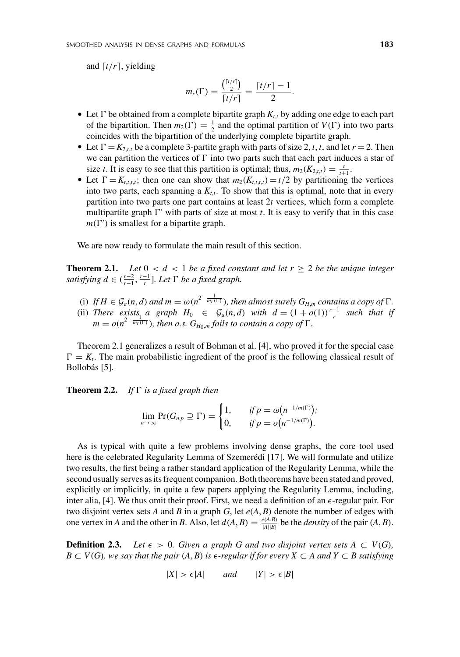and  $\lceil t/r \rceil$ , yielding

$$
m_r(\Gamma)=\frac{\binom{[t/r]}{2}}{[t/r]}=\frac{[t/r]-1}{2}.
$$

- Let  $\Gamma$  be obtained from a complete bipartite graph  $K_{t,t}$  by adding one edge to each part of the bipartition. Then  $m_2(\Gamma) = \frac{1}{2}$  and the optimal partition of  $V(\Gamma)$  into two parts coincides with the bipartition of the underlying complete bipartite graph.
- Let  $\Gamma = K_{2,t,t}$  be a complete 3-partite graph with parts of size 2, *t*, *t*, and let  $r = 2$ . Then we can partition the vertices of  $\Gamma$  into two parts such that each part induces a star of size *t*. It is easy to see that this partition is optimal; thus,  $m_2(K_{2,t,t}) = \frac{t}{t+1}$ .
- Let  $\Gamma = K_{t,t,t,t}$ ; then one can show that  $m_2(K_{t,t,t,t}) = t/2$  by partitioning the vertices into two parts, each spanning a  $K_{tt}$ . To show that this is optimal, note that in every partition into two parts one part contains at least 2*t* vertices, which form a complete multipartite graph  $\Gamma'$  with parts of size at most *t*. It is easy to verify that in this case  $m(\Gamma')$  is smallest for a bipartite graph.

We are now ready to formulate the main result of this section.

**Theorem 2.1.** *Let*  $0 < d < 1$  *be a fixed constant and let*  $r \ge 2$  *be the unique integer satisfying*  $d \in (\frac{r-2}{r-1}, \frac{r-1}{r}]$ *. Let*  $\Gamma$  *be a fixed graph.* 

- (i) *If*  $H \in \mathcal{G}_a(n,d)$  *and*  $m = \omega(n^{2-\frac{1}{m_r(T)}})$ *, then almost surely*  $G_{H,m}$  *contains a copy of*  $\Gamma$ *.*
- (ii) *There exists a graph*  $H_0 \in \mathcal{G}_a(n,d)$  *with*  $d = (1+o(1))\frac{r-1}{r}$  *such that if*  $m = o(n^{2-\frac{1}{m_r(\Gamma)}})$ , then a.s.  $G_{H_0,m}$  fails to contain a copy of  $\Gamma$ .

Theorem 2.1 generalizes a result of Bohman et al. [4], who proved it for the special case  $\Gamma = K_t$ . The main probabilistic ingredient of the proof is the following classical result of Bollobás [5].

**Theorem 2.2.** *If*  $\Gamma$  *is a fixed graph then* 

$$
\lim_{n\to\infty}\Pr(G_{n,p}\supseteq\Gamma)=\begin{cases}1,&\text{if }p=\omega(n^{-1/m(\Gamma)});\\0,&\text{if }p=\omega(n^{-1/m(\Gamma)}). \end{cases}
$$

As is typical with quite a few problems involving dense graphs, the core tool used here is the celebrated Regularity Lemma of Szemerédi [17]. We will formulate and utilize two results, the first being a rather standard application of the Regularity Lemma, while the second usually serves as its frequent companion. Both theorems have been stated and proved, explicitly or implicitly, in quite a few papers applying the Regularity Lemma, including, inter alia, [4]. We thus omit their proof. First, we need a definition of an  $\epsilon$ -regular pair. For two disjoint vertex sets *A* and *B* in a graph *G*, let *e*(*A*, *B*) denote the number of edges with one vertex in *A* and the other in *B*. Also, let  $d(A, B) = \frac{e(A, B)}{|A||B|}$  be the *density* of the pair  $(A, B)$ .

**Definition 2.3.** Let  $\epsilon > 0$ . Given a graph G and two disjoint vertex sets  $A \subset V(G)$ , *B* ⊂ *V*(*G*)*, we say that the pair* (*A, B*) *is*  $\epsilon$ -regular *if* for every *X* ⊂ *A* and *Y* ⊂ *B* satisfying

$$
|X| > \epsilon |A| \qquad \text{and} \qquad |Y| > \epsilon |B|
$$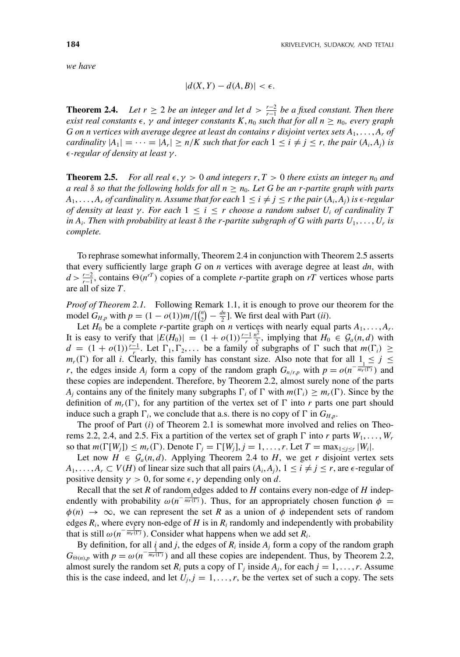*we have*

$$
|d(X,Y) - d(A,B)| < \epsilon.
$$

**Theorem 2.4.** *Let r* ≥ 2 *be an integer and let d* >  $\frac{r-2}{r-1}$  *be a fixed constant. Then there exist real constants*  $\epsilon$ ,  $\gamma$  *and integer constants*  $K$ ,  $n_0$  *such that for all*  $n \geq n_0$ *, every graph G* on *n* vertices with average degree at least dn contains r disjoint vertex sets  $A_1, \ldots, A_r$  of *cardinality*  $|A_1| = \cdots = |A_r| \ge n/K$  *such that for each*  $1 \le i \ne j \le r$ *, the pair*  $(A_i, A_j)$  *is -regular of density at least* γ *.*

**Theorem 2.5.** *For all real*  $\epsilon, \gamma > 0$  *and integers r, T > 0 there exists an integer n<sub>0</sub> <i>and a real*  $\delta$  *so that the following holds for all*  $n \geq n_0$ *. Let* G *be an r-partite graph with parts A*<sub>1</sub>, ..., *A<sub>r</sub> of cardinality n. Assume that for each*  $1 \leq i \neq j \leq r$  *the pair*  $(A_i, A_j)$  *is*  $\epsilon$ -regular *of density at least γ. For each*  $1 ≤ i ≤ r$  *choose a random subset U<sub>i</sub> of cardinality T in A<sub>i</sub>*. Then with probability at least  $\delta$  the r-partite subgraph of G with parts  $U_1, \ldots, U_r$  is *complete.*

To rephrase somewhat informally, Theorem 2.4 in conjunction with Theorem 2.5 asserts that every sufficiently large graph *G* on *n* vertices with average degree at least *dn*, with  $d > \frac{r-2}{r-1}$ , contains  $\Theta(n^{rT})$  copies of a complete *r*-partite graph on *rT* vertices whose parts are all of size *T*.

*Proof of Theorem 2.1.* Following Remark 1.1, it is enough to prove our theorem for the model  $G_{H,p}$  with  $p = (1 - o(1))m/[(\binom{n}{2} - \frac{dn}{2}]$ . We first deal with Part *(ii)*.

Let  $H_0$  be a complete *r*-partite graph on *n* vertices with nearly equal parts  $A_1, \ldots, A_r$ . It is easy to verify that  $|E(H_0)| = (1 + o(1))\frac{r-1}{r^2}$ , implying that  $H_0 \in \mathcal{G}_a(n,d)$  with  $d = (1 + o(1))\frac{r-1}{r}$ . Let  $\Gamma_1, \Gamma_2, \ldots$  be a family of subgraphs of  $\Gamma$  such that  $m(\Gamma_i) \ge$  $m_r(\Gamma)$  for all *i*. Clearly, this family has constant size. Also note that for all  $1 \leq j \leq$ *r*, the edges inside  $A_j$  form a copy of the random graph  $G_{n/r,p}$  with  $p = o(n^{-\frac{1}{m_r(T)}})$  and these copies are independent. Therefore, by Theorem 2.2, almost surely none of the parts *A<sub>i</sub>* contains any of the finitely many subgraphs  $\Gamma_i$  of  $\Gamma$  with  $m(\Gamma_i) \geq m_r(\Gamma)$ . Since by the definition of  $m_r(\Gamma)$ , for any partition of the vertex set of  $\Gamma$  into *r* parts one part should induce such a graph  $\Gamma_i$ , we conclude that a.s. there is no copy of  $\Gamma$  in  $G_{H,p}$ .

The proof of Part (*i*) of Theorem 2.1 is somewhat more involved and relies on Theorems 2.2, 2.4, and 2.5. Fix a partition of the vertex set of graph  $\Gamma$  into *r* parts  $W_1, \ldots, W_r$ so that  $m(\Gamma[W_j]) \leq m_r(\Gamma)$ . Denote  $\Gamma_j = \Gamma[W_j], j = 1, \ldots, r$ . Let  $T = \max_{1 \leq j \leq r} |W_i|$ .

Let now  $H \in \mathcal{G}_a(n,d)$ . Applying Theorem 2.4 to H, we get r disjoint vertex sets  $A_1, \ldots, A_r \subset V(H)$  of linear size such that all pairs  $(A_i, A_j)$ ,  $1 \leq i \neq j \leq r$ , are  $\epsilon$ -regular of positive density  $\gamma > 0$ , for some  $\epsilon$ ,  $\gamma$  depending only on *d*.

Recall that the set  $R$  of random edges added to  $H$  contains every non-edge of  $H$  independently with probability  $\omega(n^{-\frac{1}{m_r(T)}})$ . Thus, for an appropriately chosen function  $\phi =$  $\phi(n) \to \infty$ , we can represent the set R as a union of  $\phi$  independent sets of random edges  $R_i$ , where every non-edge of  $H$  is in  $R_i$  randomly and independently with probability that is still  $\omega(n^{-\frac{1}{m_r(T)}})$ . Consider what happens when we add set  $R_i$ .

By definition, for all *i* and *j*, the edges of  $R_i$  inside  $A_j$  form a copy of the random graph  $G_{\Theta(n),p}$  with  $p = \omega(n^{-\frac{1}{m_r(1)}})$  and all these copies are independent. Thus, by Theorem 2.2, almost surely the random set  $R_i$  puts a copy of  $\Gamma_j$  inside  $A_j$ , for each  $j = 1, \ldots, r$ . Assume this is the case indeed, and let  $U_i$ ,  $j = 1, \ldots, r$ , be the vertex set of such a copy. The sets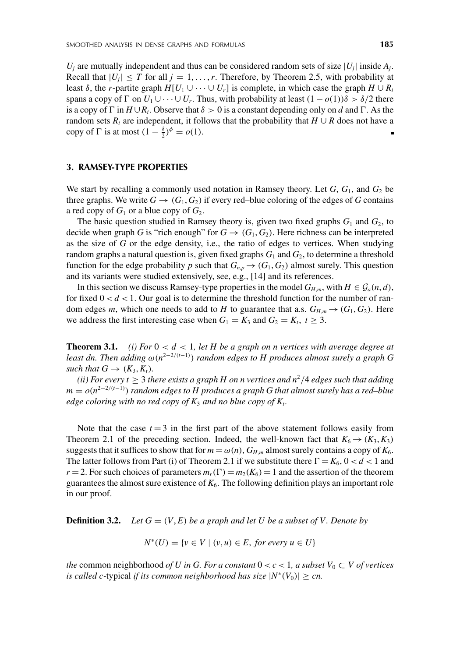$U_i$  are mutually independent and thus can be considered random sets of size  $|U_i|$  inside  $A_i$ . Recall that  $|U_j| \leq T$  for all  $j = 1, ..., r$ . Therefore, by Theorem 2.5, with probability at least δ, the *r*-partite graph *H*[*U*<sub>1</sub> ∪ ···∪ *U<sub>r</sub>*] is complete, in which case the graph *H* ∪ *R<sub>i</sub>* spans a copy of  $\Gamma$  on  $U_1 \cup \cdots \cup U_r$ . Thus, with probability at least  $(1 - o(1))\delta > \delta/2$  there is a copy of  $\Gamma$  in  $H \cup R_i$ . Observe that  $\delta > 0$  is a constant depending only on *d* and  $\Gamma$ . As the random sets  $R_i$  are independent, it follows that the probability that  $H \cup R$  does not have a copy of  $\Gamma$  is at most  $(1 - \frac{\delta}{2})^{\phi} = o(1)$ .

#### **3. RAMSEY-TYPE PROPERTIES**

We start by recalling a commonly used notation in Ramsey theory. Let  $G$ ,  $G_1$ , and  $G_2$  be three graphs. We write  $G \rightarrow (G_1, G_2)$  if every red–blue coloring of the edges of *G* contains a red copy of  $G_1$  or a blue copy of  $G_2$ .

The basic question studied in Ramsey theory is, given two fixed graphs  $G_1$  and  $G_2$ , to decide when graph *G* is "rich enough" for  $G \rightarrow (G_1, G_2)$ . Here richness can be interpreted as the size of *G* or the edge density, i.e., the ratio of edges to vertices. When studying random graphs a natural question is, given fixed graphs  $G_1$  and  $G_2$ , to determine a threshold function for the edge probability *p* such that  $G_{n,p} \to (G_1, G_2)$  almost surely. This question and its variants were studied extensively, see, e.g., [14] and its references.

In this section we discuss Ramsey-type properties in the model  $G_{H,m}$ , with  $H \in \mathcal{G}_a(n,d)$ , for fixed  $0 < d < 1$ . Our goal is to determine the threshold function for the number of random edges *m*, which one needs to add to *H* to guarantee that a.s.  $G_{H,m} \rightarrow (G_1, G_2)$ . Here we address the first interesting case when  $G_1 = K_3$  and  $G_2 = K_t$ ,  $t \geq 3$ .

**Theorem 3.1.** *(i) For*  $0 < d < 1$ *, let H be a graph on n vertices with average degree at least dn. Then adding* ω(*n*<sup>2</sup>−2/(*t*−1) ) *random edges to H produces almost surely a graph G such that*  $G \rightarrow (K_3, K_t)$ .

*(ii) For every t*  $\geq$  3 *there exists a graph H on n vertices and n<sup>2</sup>/4 <i>edges such that adding m* =  $o(n^{2-2/(t-1)})$  *random edges to H produces a graph G that almost surely has a red–blue edge coloring with no red copy of K*<sup>3</sup> *and no blue copy of Kt.*

Note that the case  $t = 3$  in the first part of the above statement follows easily from Theorem 2.1 of the preceding section. Indeed, the well-known fact that  $K_6 \rightarrow (K_3, K_3)$ suggests that it suffices to show that for  $m = \omega(n)$ ,  $G_{H,m}$  almost surely contains a copy of  $K_6$ . The latter follows from Part (i) of Theorem 2.1 if we substitute there  $\Gamma = K_6$ ,  $0 < d < 1$  and  $r = 2$ . For such choices of parameters  $m_r(\Gamma) = m_2(K_6) = 1$  and the assertion of the theorem guarantees the almost sure existence of  $K_6$ . The following definition plays an important role in our proof.

**Definition 3.2.** *Let*  $G = (V, E)$  *be a graph and let*  $U$  *be a subset of*  $V$ *. Denote by* 

$$
N^*(U) = \{ v \in V \mid (v, u) \in E, \text{ for every } u \in U \}
$$

*the* common neighborhood *of U in G. For a constant*  $0 < c < 1$ *, a subset*  $V_0 \subset V$  *of vertices is called c*-typical *if its common neighborhood has size*  $|N^*(V_0)| \ge cn$ .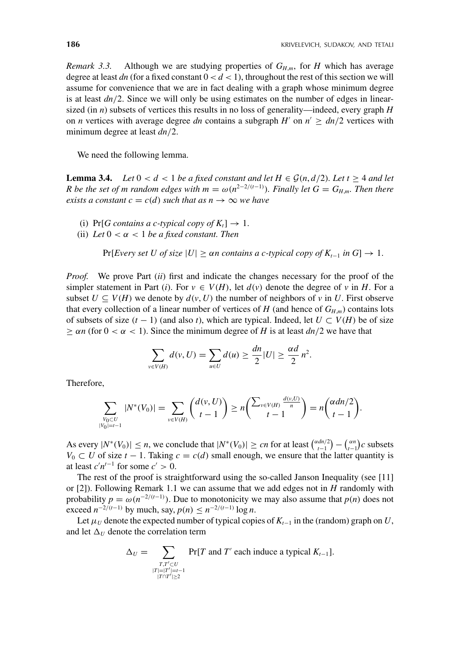*Remark 3.3.* Although we are studying properties of  $G_{H,m}$ , for *H* which has average degree at least  $dn$  (for a fixed constant  $0 < d < 1$ ), throughout the rest of this section we will assume for convenience that we are in fact dealing with a graph whose minimum degree is at least *dn*/2. Since we will only be using estimates on the number of edges in linearsized (in *n*) subsets of vertices this results in no loss of generality—indeed, every graph *H* on *n* vertices with average degree *dn* contains a subgraph *H'* on  $n' \geq dn/2$  vertices with minimum degree at least *dn*/2.

We need the following lemma.

**Lemma 3.4.** *Let*  $0 < d < 1$  *be a fixed constant and let*  $H \in \mathcal{G}(n, d/2)$ *. Let*  $t \geq 4$  *and let R* be the set of *m* random edges with  $m = \omega(n^{2-2/(t-1)})$ . Finally let  $G = G_{H,m}$ . Then there *exists a constant c* =  $c$ (*d*) *such that as n*  $\rightarrow \infty$  *we have* 

- (i) Pr[*G* contains a c-typical copy of  $K_t$ ]  $\rightarrow$  1.
- (ii) Let  $0 < \alpha < 1$  be a fixed constant. Then

Pr[*Every set U of size*  $|U| \geq \alpha n$  contains a c-typical copy of  $K_{t-1}$  in  $G$ ]  $\rightarrow$  1.

*Proof.* We prove Part (*ii*) first and indicate the changes necessary for the proof of the simpler statement in Part (*i*). For  $v \in V(H)$ , let  $d(v)$  denote the degree of v in *H*. For a subset  $U \subseteq V(H)$  we denote by  $d(v, U)$  the number of neighbors of v in U. First observe that every collection of a linear number of vertices of *H* (and hence of  $G_{H,m}$ ) contains lots of subsets of size  $(t - 1)$  (and also *t*), which are typical. Indeed, let  $U \subset V(H)$  be of size  $\geq \alpha n$  (for  $0 < \alpha < 1$ ). Since the minimum degree of *H* is at least *dn*/2 we have that

$$
\sum_{v \in V(H)} d(v, U) = \sum_{u \in U} d(u) \ge \frac{dn}{2} |U| \ge \frac{\alpha d}{2} n^2.
$$

Therefore,

$$
\sum_{\substack{V_0 \subset U \\ |V_0| = t-1}} |N^*(V_0)| = \sum_{v \in V(H)} \binom{d(v, U)}{t-1} \ge n \binom{\sum_{v \in V(H)} \frac{d(v, U)}{n}}{t-1} = n \binom{\alpha dn/2}{t-1}.
$$

As every  $|N^*(V_0)| \le n$ , we conclude that  $|N^*(V_0)| \ge cn$  for at least  $\binom{\alpha dn/2}{t-1} - \binom{\alpha n}{t-1}c$  subsets *V*<sub>0</sub> ⊂ *U* of size *t* − 1. Taking  $c = c(d)$  small enough, we ensure that the latter quantity is at least  $c'n^{t-1}$  for some  $c' > 0$ .

The rest of the proof is straightforward using the so-called Janson Inequality (see [11] or [2]). Following Remark 1.1 we can assume that we add edges not in *H* randomly with probability  $p = \omega(n^{-2/(t-1)})$ . Due to monotonicity we may also assume that  $p(n)$  does not exceed  $n^{-2/(t-1)}$  by much, say,  $p(n) \leq n^{-2/(t-1)} \log n$ .

Let  $\mu_U$  denote the expected number of typical copies of  $K_{t-1}$  in the (random) graph on *U*, and let  $\Delta_U$  denote the correlation term

$$
\Delta_U = \sum_{\substack{T, T' \subset U \\ |T| = |T'| = t-1 \\ |T \cap T'| \ge 2}} \Pr[T \text{ and } T' \text{ each induce a typical } K_{t-1}].
$$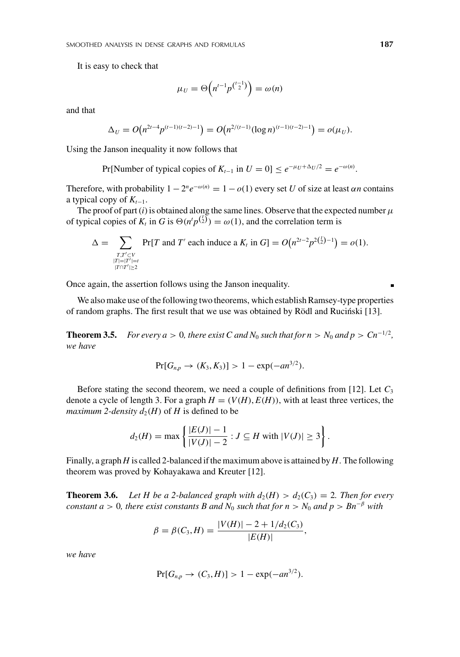It is easy to check that

$$
\mu_U = \Theta\left(n^{t-1}p^{\binom{t-1}{2}}\right) = \omega(n)
$$

and that

$$
\Delta_U = O\big(n^{2t-4}p^{(t-1)(t-2)-1}\big) = O\big(n^{2/(t-1)}(\log n)^{(t-1)(t-2)-1}\big) = o(\mu_U).
$$

Using the Janson inequality it now follows that

Pr[Number of typical copies of  $K_{t-1}$  in  $U = 0$ ] ≤  $e^{-\mu_U + \Delta_U/2} = e^{-\omega(n)}$ .

Therefore, with probability  $1 - 2^n e^{-\omega(n)} = 1 - o(1)$  every set *U* of size at least  $\alpha n$  contains a typical copy of  $K_{t-1}$ .

The proof of part  $(i)$  is obtained along the same lines. Observe that the expected number  $\mu$ of typical copies of  $K_t$  in *G* is  $\Theta(n^t p^{(\frac{t}{2})}) = \omega(1)$ , and the correlation term is

$$
\Delta = \sum_{\substack{T,T'\subset V\\|T|=|T'|=t\\|T\cap T'|\geq 2}} \Pr[T \text{ and } T' \text{ each induce a } K_t \text{ in } G] = O\big(n^{2t-2}p^{2\binom{t}{2}-1}\big) = o(1).
$$

Once again, the assertion follows using the Janson inequality.

We also make use of the following two theorems, which establish Ramsey-type properties of random graphs. The first result that we use was obtained by Rödl and Rucinski [13]. ´

**Theorem 3.5.** *For every a* > 0*, there exist C and*  $N_0$  *such that for*  $n > N_0$  *and*  $p > Cn^{-1/2}$ *, we have*

$$
Pr[G_{n,p} \to (K_3, K_3)] > 1 - \exp(-an^{3/2}).
$$

Before stating the second theorem, we need a couple of definitions from [12]. Let  $C_3$ denote a cycle of length 3. For a graph  $H = (V(H), E(H))$ , with at least three vertices, the *maximum 2-density*  $d_2(H)$  *of H is defined to be* 

$$
d_2(H) = \max \left\{ \frac{|E(J)| - 1}{|V(J)| - 2} : J \subseteq H \text{ with } |V(J)| \ge 3 \right\}.
$$

Finally, a graph *H* is called 2-balanced if the maximum above is attained by *H*. The following theorem was proved by Kohayakawa and Kreuter [12].

**Theorem 3.6.** Let H be a 2-balanced graph with  $d_2(H) > d_2(C_3) = 2$ . Then for every *constant a* > 0*, there exist constants B and*  $N_0$  *such that for*  $n > N_0$  *and*  $p > Bn^{-\beta}$  *with* 

$$
\beta = \beta(C_3, H) = \frac{|V(H)| - 2 + 1/d_2(C_3)}{|E(H)|},
$$

*we have*

$$
Pr[G_{n,p} \to (C_3, H)] > 1 - \exp(-an^{3/2}).
$$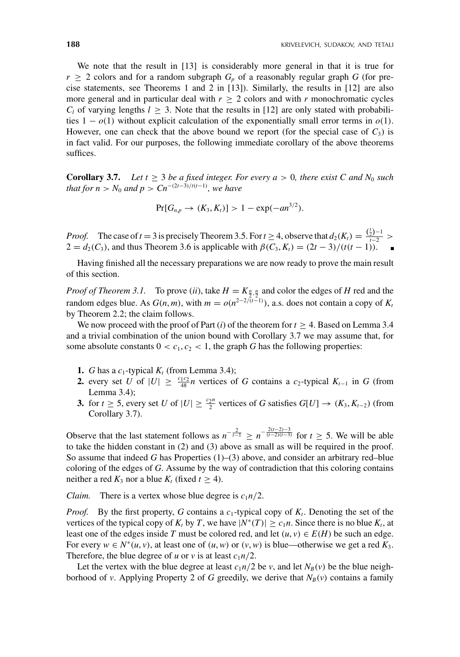We note that the result in [13] is considerably more general in that it is true for  $r \geq 2$  colors and for a random subgraph  $G_p$  of a reasonably regular graph *G* (for precise statements, see Theorems 1 and 2 in [13]). Similarly, the results in [12] are also more general and in particular deal with  $r \geq 2$  colors and with *r* monochromatic cycles  $C_l$  of varying lengths  $l \geq 3$ . Note that the results in [12] are only stated with probabilities  $1 - o(1)$  without explicit calculation of the exponentially small error terms in  $o(1)$ . However, one can check that the above bound we report (for the special case of  $C_3$ ) is in fact valid. For our purposes, the following immediate corollary of the above theorems suffices.

**Corollary 3.7.** *Let t*  $\geq$  3 *be a fixed integer. For every a*  $>$  0*, there exist C and N<sub>0</sub> such that for n* >  $N_0$  *and p* >  $Cn^{-(2t-3)/t(t-1)}$ *, we have* 

$$
Pr[G_{n,p} \to (K_3, K_t)] > 1 - \exp(-an^{3/2}).
$$

*Proof.* The case of  $t = 3$  is precisely Theorem 3.5. For  $t \ge 4$ , observe that  $d_2(K_t) = \frac{{t \choose 2} - 1}{t \cdot 2} >$  $2 = d_2(C_3)$ , and thus Theorem 3.6 is applicable with  $\beta(C_3, K_t) = (2t - 3)/(t(t - 1))$ .

Having finished all the necessary preparations we are now ready to prove the main result of this section.

*Proof of Theorem 3.1.* To prove (*ii*), take  $H = K_{\frac{n}{2}, \frac{n}{2}}$  and color the edges of *H* red and the random edges blue. As  $G(n, m)$ , with  $m = o(n^{2-2/(t-1)})$ , a.s. does not contain a copy of  $K_t$ by Theorem 2.2; the claim follows.

We now proceed with the proof of Part  $(i)$  of the theorem for  $t > 4$ . Based on Lemma 3.4 and a trivial combination of the union bound with Corollary 3.7 we may assume that, for some absolute constants  $0 < c_1, c_2 < 1$ , the graph *G* has the following properties:

- **1.** *G* has a  $c_1$ -typical  $K_t$  (from Lemma 3.4);
- **2.** every set *U* of  $|U| \ge \frac{c_1 c_2}{48} n$  vertices of *G* contains a *c*<sub>2</sub>-typical  $K_{t-1}$  in *G* (from Lemma 3.4);
- **3.** for  $t \ge 5$ , every set *U* of  $|U| \ge \frac{c_2 n}{2}$  vertices of *G* satisfies  $G[U] \to (K_3, K_{t-2})$  (from Corollary 3.7).

Observe that the last statement follows as  $n^{-\frac{2}{t-1}} \ge n^{-\frac{2(t-2)-3}{(t-2)(t-3)}}$  for  $t \ge 5$ . We will be able to take the hidden constant in (2) and (3) above as small as will be required in the proof. So assume that indeed *G* has Properties (1)–(3) above, and consider an arbitrary red–blue coloring of the edges of *G*. Assume by the way of contradiction that this coloring contains neither a red  $K_3$  nor a blue  $K_t$  (fixed  $t \geq 4$ ).

*Claim.* There is a vertex whose blue degree is  $c_1n/2$ .

*Proof.* By the first property, *G* contains a  $c_1$ -typical copy of  $K_t$ . Denoting the set of the vertices of the typical copy of  $K_t$  by *T*, we have  $|N^*(T)| \ge c_1 n$ . Since there is no blue  $K_t$ , at least one of the edges inside *T* must be colored red, and let  $(u, v) \in E(H)$  be such an edge. For every  $w \in N^*(u, v)$ , at least one of  $(u, w)$  or  $(v, w)$  is blue—otherwise we get a red  $K_3$ . Therefore, the blue degree of *u* or *v* is at least  $c_1n/2$ .

Let the vertex with the blue degree at least  $c_1n/2$  be *v*, and let  $N_B(v)$  be the blue neighborhood of *v*. Applying Property 2 of *G* greedily, we derive that  $N_B(v)$  contains a family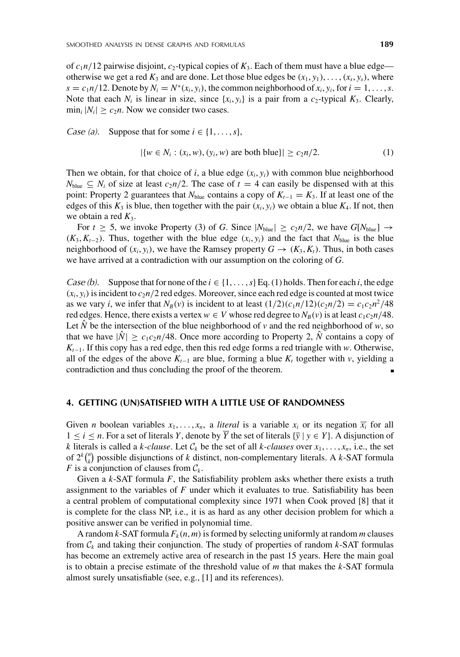of  $c_1n/12$  pairwise disjoint,  $c_2$ -typical copies of  $K_3$ . Each of them must have a blue edge otherwise we get a red  $K_3$  and are done. Let those blue edges be  $(x_1, y_1), \ldots, (x_s, y_s)$ , where  $s = c_1 n/12$ . Denote by  $N_i = N^*(x_i, y_i)$ , the common neighborhood of  $x_i, y_i$ , for  $i = 1, \ldots, s$ . Note that each  $N_i$  is linear in size, since  $\{x_i, y_i\}$  is a pair from a  $c_2$ -typical  $K_3$ . Clearly,  $\min_i |N_i| \geq c_2 n$ . Now we consider two cases.

*Case (a).* Suppose that for some  $i \in \{1, \ldots, s\}$ ,

$$
|\{w \in N_i : (x_i, w), (y_i, w) \text{ are both blue}\}| \ge c_2 n/2.
$$
 (1)

Then we obtain, for that choice of *i*, a blue edge  $(x_i, y_i)$  with common blue neighborhood  $N_{blue} \subseteq N_i$  of size at least  $c_2n/2$ . The case of  $t = 4$  can easily be dispensed with at this point: Property 2 guarantees that  $N_{blue}$  contains a copy of  $K_{t-1} = K_3$ . If at least one of the edges of this  $K_3$  is blue, then together with the pair  $(x_i, y_i)$  we obtain a blue  $K_4$ . If not, then we obtain a red  $K_3$ .

For  $t \geq 5$ , we invoke Property (3) of *G*. Since  $|N_{blue}| \geq c_2 n/2$ , we have  $G[N_{blue}] \rightarrow$  $(K_3, K_{t-2})$ . Thus, together with the blue edge  $(x_i, y_i)$  and the fact that  $N_{blue}$  is the blue neighborhood of  $(x_i, y_i)$ , we have the Ramsey property  $G \rightarrow (K_3, K_1)$ . Thus, in both cases we have arrived at a contradiction with our assumption on the coloring of *G*.

*Case (b).* Suppose that for none of the  $i \in \{1, \ldots, s\}$  Eq. (1) holds. Then for each *i*, the edge  $(x_i, y_i)$  is incident to  $c_2n/2$  red edges. Moreover, since each red edge is counted at most twice as we vary *i*, we infer that  $N_B(v)$  is incident to at least  $(1/2)(c_1n/12)(c_2n/2) = c_1c_2n^2/48$ red edges. Hence, there exists a vertex  $w \in V$  whose red degree to  $N_B(v)$  is at least  $c_1c_2n/48$ . Let  $\hat{N}$  be the intersection of the blue neighborhood of  $\nu$  and the red neighborhood of  $w$ , so that we have  $|\hat{N}| \ge c_1 c_2 n/48$ . Once more according to Property 2,  $\hat{N}$  contains a copy of *K*<sub> $t-1$ </sub>. If this copy has a red edge, then this red edge forms a red triangle with *w*. Otherwise, all of the edges of the above  $K_{t-1}$  are blue, forming a blue  $K_t$  together with *v*, yielding a contradiction and thus concluding the proof of the theorem.

## **4. GETTING (UN)SATISFIED WITH A LITTLE USE OF RANDOMNESS**

Given *n* boolean variables  $x_1, \ldots, x_n$ , a *literal* is a variable  $x_i$  or its negation  $\overline{x_i}$  for all  $1 \leq i \leq n$ . For a set of literals *Y*, denote by *Y* the set of literals  $\{\overline{y} \mid y \in Y\}$ . A disjunction of *k* literals is called a *k*-clause. Let  $C_k$  be the set of all *k*-clauses over  $x_1, \ldots, x_n$ , i.e., the set of  $2^k {n \choose k}$  possible disjunctions of *k* distinct, non-complementary literals. A *k*-SAT formula *F* is a conjunction of clauses from  $C_k$ .

Given a *k*-SAT formula *F*, the Satisfiability problem asks whether there exists a truth assignment to the variables of *F* under which it evaluates to true. Satisfiability has been a central problem of computational complexity since 1971 when Cook proved [8] that it is complete for the class NP, i.e., it is as hard as any other decision problem for which a positive answer can be verified in polynomial time.

A random *k*-SAT formula  $F_k(n, m)$  is formed by selecting uniformly at random *m* clauses from  $C_k$  and taking their conjunction. The study of properties of random  $k$ -SAT formulas has become an extremely active area of research in the past 15 years. Here the main goal is to obtain a precise estimate of the threshold value of *m* that makes the *k*-SAT formula almost surely unsatisfiable (see, e.g., [1] and its references).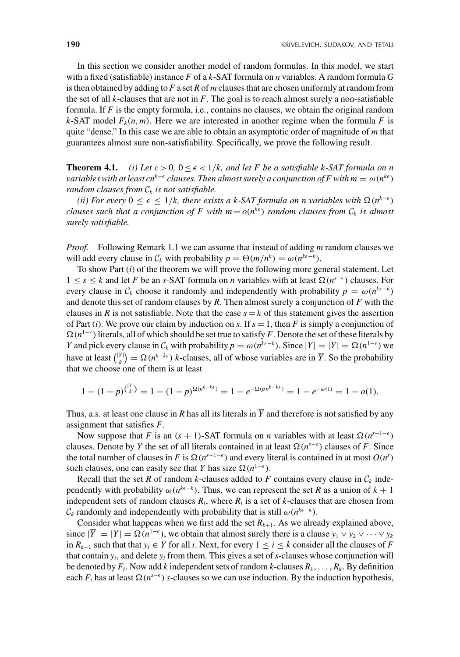In this section we consider another model of random formulas. In this model, we start with a fixed (satisfiable) instance *F* of a *k*-SAT formula on *n* variables. A random formula *G* is then obtained by adding to *F* a set *R* of *m* clauses that are chosen uniformly at random from the set of all  $k$ -clauses that are not in  $F$ . The goal is to reach almost surely a non-satisfiable formula. If *F* is the empty formula, i.e., contains no clauses, we obtain the original random *k*-SAT model  $F_k(n, m)$ . Here we are interested in another regime when the formula *F* is quite "dense." In this case we are able to obtain an asymptotic order of magnitude of *m* that guarantees almost sure non-satisfiability. Specifically, we prove the following result.

**Theorem 4.1.** *(i) Let*  $c > 0$ ,  $0 \le \epsilon < 1/k$ , and let F be a satisfiable k-SAT formula on n *variables with at least cn<sup>k−* $\epsilon$ *</sup> clauses. Then almost surely a conjunction of F with m* =  $\omega(n^{k\epsilon})$ *random clauses from*  $C_k$  *is not satisfiable.* 

*(ii) For every*  $0 \le \epsilon \le 1/k$ , there exists a k-SAT formula on n variables with  $\Omega(n^{k-\epsilon})$ *clauses such that a conjunction of F with*  $m = o(n^{k\epsilon})$  *random clauses from*  $C_k$  *is almost surely satisfiable.*

*Proof.* Following Remark 1.1 we can assume that instead of adding *m* random clauses we will add every clause in  $C_k$  with probability  $p = \Theta(m/n^k) = \omega(n^{k\epsilon - k})$ .

To show Part (*i*) of the theorem we will prove the following more general statement. Let 1 ≤ *s* ≤ *k* and let *F* be an *s*-SAT formula on *n* variables with at least (*ns*− ) clauses. For every clause in  $C_k$  choose it randomly and independently with probability  $p = \omega(n^{k\epsilon-k})$ and denote this set of random clauses by *R*. Then almost surely a conjunction of *F* with the clauses in *R* is not satisfiable. Note that the case  $s = k$  of this statement gives the assertion of Part (*i*). We prove our claim by induction on *s*. If  $s = 1$ , then *F* is simply a conjunction of  $\Omega(n^{1-\epsilon})$  literals, all of which should be set true to satisfy *F*. Denote the set of these literals by *Y* and pick every clause in  $C_k$  with probability  $p = \omega(n^{k\epsilon - k})$ . Since  $|\overline{Y}| = |Y| = \Omega(n^{1-\epsilon})$  we have at least  $\binom{|Y|}{k} = \Omega(n^{k-k\epsilon})$  *k*-clauses, all of whose variables are in  $\overline{Y}$ . So the probability that we choose one of them is at least

$$
1 - (1 - p)^{(\overline{Y})} = 1 - (1 - p)^{\Omega(n^{k - k\epsilon})} = 1 - e^{-\Omega(p n^{k - k\epsilon})} = 1 - e^{-\omega(1)} = 1 - o(1).
$$

Thus, a.s. at least one clause in *R* has all its literals in  $\overline{Y}$  and therefore is not satisfied by any assignment that satisfies *F*.

Now suppose that *F* is an  $(s + 1)$ -SAT formula on *n* variables with at least  $\Omega(n^{s+1-\epsilon})$ clauses. Denote by *Y* the set of all literals contained in at least  $\Omega(n^{s-\epsilon})$  clauses of *F*. Since the total number of clauses in *F* is  $\Omega(n^{s+1-\epsilon})$  and every literal is contained in at most  $O(n^s)$ such clauses, one can easily see that *Y* has size  $\Omega(n^{1-\epsilon})$ .

Recall that the set *R* of random *k*-clauses added to *F* contains every clause in  $C_k$  independently with probability  $\omega(n^{k\epsilon-k})$ . Thus, we can represent the set *R* as a union of  $k+1$ independent sets of random clauses  $R_i$ , where  $R_i$  is a set of *k*-clauses that are chosen from  $\mathcal{C}_k$  randomly and independently with probability that is still  $\omega(n^{k\epsilon-k})$ .

Consider what happens when we first add the set  $R_{k+1}$ . As we already explained above, since  $|\overline{Y}| = |Y| = \Omega(n^{1-\epsilon})$ , we obtain that almost surely there is a clause  $\overline{y_1} \vee \overline{y_2} \vee \cdots \vee \overline{y_k}$ in  $R_{k+1}$  such that that  $y_i$  ∈ *Y* for all *i*. Next, for every  $1 ≤ i ≤ k$  consider all the clauses of *F* that contain  $y_i$ , and delete  $y_i$  from them. This gives a set of  $s$ -clauses whose conjunction will be denoted by  $F_i$ . Now add *k* independent sets of random *k*-clauses  $R_1, \ldots, R_k$ . By definition each  $F_i$  has at least  $\Omega(n^{s-\epsilon})$  *s*-clauses so we can use induction. By the induction hypothesis,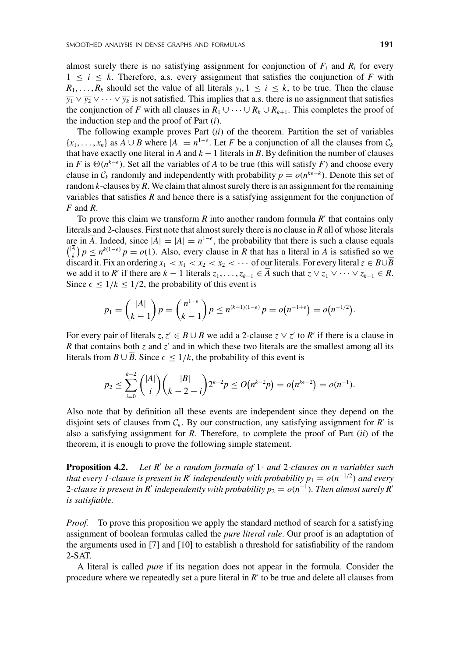almost surely there is no satisfying assignment for conjunction of  $F_i$  and  $R_i$  for every  $1 \leq i \leq k$ . Therefore, a.s. every assignment that satisfies the conjunction of *F* with  $R_1, \ldots, R_k$  should set the value of all literals  $y_i, 1 \le i \le k$ , to be true. Then the clause  $\overline{y_1} \vee \overline{y_2} \vee \cdots \vee \overline{y_k}$  is not satisfied. This implies that a.s. there is no assignment that satisfies the conjunction of *F* with all clauses in  $R_1 \cup \cdots \cup R_k \cup R_{k+1}$ . This completes the proof of the induction step and the proof of Part (*i*).

The following example proves Part (*ii*) of the theorem. Partition the set of variables {*x*<sub>1</sub>, ..., *x<sub>n</sub>*} as *A* ∪ *B* where  $|A| = n^{1-\epsilon}$ . Let *F* be a conjunction of all the clauses from  $C_k$ that have exactly one literal in *A* and  $k - 1$  literals in *B*. By definition the number of clauses in *F* is  $\Theta(n^{k-\epsilon})$ . Set all the variables of *A* to be true (this will satisfy *F*) and choose every clause in  $C_k$  randomly and independently with probability  $p = o(n^{k\epsilon - k})$ . Denote this set of random *k*-clauses by *R*. We claim that almost surely there is an assignment for the remaining variables that satisfies *R* and hence there is a satisfying assignment for the conjunction of *F* and *R*.

To prove this claim we transform *R* into another random formula *R* that contains only literals and 2-clauses. First note that almost surely there is no clause in *R* all of whose literals are in  $\overline{A}$ . Indeed, since  $|\overline{A}| = |A| = n^{1-\epsilon}$ , the probability that there is such a clause equals  $\binom{|A|}{k} p \leq n^{k(1-\epsilon)} p = o(1)$ . Also, every clause in *R* that has a literal in *A* is satisfied so we discard it. Fix an ordering  $x_1 < \overline{x_1} < x_2 < \overline{x_2} < \cdots$  of our literals. For every literal  $z \in B \cup \overline{B}$ we add it to *R'* if there are  $k - 1$  literals  $z_1, \ldots, z_{k-1} \in \overline{A}$  such that  $z \vee z_1 \vee \cdots \vee z_{k-1} \in R$ . Since  $\epsilon \leq 1/k \leq 1/2$ , the probability of this event is

$$
p_1 = \binom{|\overline{A}|}{k-1} p = \binom{n^{1-\epsilon}}{k-1} p \le n^{(k-1)(1-\epsilon)} p = o(n^{-1+\epsilon}) = o(n^{-1/2}).
$$

For every pair of literals  $z, z' \in B \cup \overline{B}$  we add a 2-clause  $z \vee z'$  to  $R'$  if there is a clause in *R* that contains both *z* and *z'* and in which these two literals are the smallest among all its literals from  $B \cup \overline{B}$ . Since  $\epsilon \leq 1/k$ , the probability of this event is

$$
p_2 \leq \sum_{i=0}^{k-2} { |A| \choose i} { |B| \choose k-2-i} 2^{k-2} p \leq O(n^{k-2}p) = o(n^{k\epsilon-2}) = o(n^{-1}).
$$

Also note that by definition all these events are independent since they depend on the disjoint sets of clauses from  $C_k$ . By our construction, any satisfying assignment for  $R'$  is also a satisfying assignment for *R*. Therefore, to complete the proof of Part (*ii*) of the theorem, it is enough to prove the following simple statement.

**Proposition 4.2.** *Let R be a random formula of* 1*- and* 2*-clauses on n variables such that every 1-clause is present in R' independently with probability*  $p_1 = o(n^{-1/2})$  *and every* 2-clause is present in R' independently with probability  $p_2 = o(n^{-1})$ . Then almost surely R' *is satisfiable.*

*Proof.* To prove this proposition we apply the standard method of search for a satisfying assignment of boolean formulas called the *pure literal rule*. Our proof is an adaptation of the arguments used in [7] and [10] to establish a threshold for satisfiability of the random 2-SAT.

A literal is called *pure* if its negation does not appear in the formula. Consider the procedure where we repeatedly set a pure literal in *R'* to be true and delete all clauses from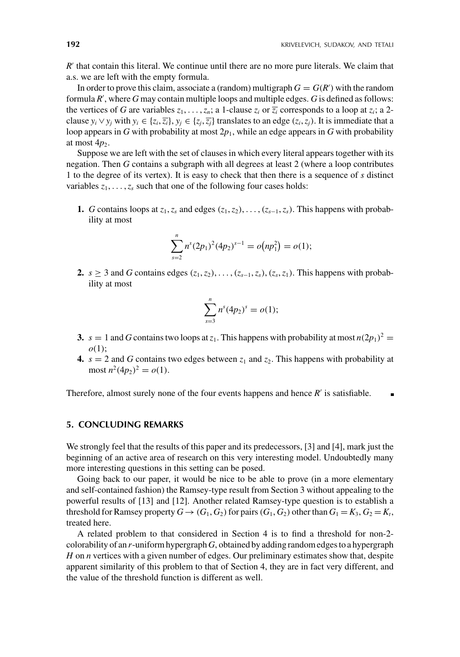$R'$  that contain this literal. We continue until there are no more pure literals. We claim that a.s. we are left with the empty formula.

In order to prove this claim, associate a (random) multigraph  $G = G(R')$  with the random formula *R* , where *G* may contain multiple loops and multiple edges. *G* is defined as follows: the vertices of *G* are variables  $z_1, \ldots, z_n$ ; a 1-clause  $z_i$  or  $\overline{z_i}$  corresponds to a loop at  $z_i$ ; a 2clause  $y_i \vee y_j$  with  $y_i \in \{z_i, \overline{z_i}\}, y_j \in \{z_j, \overline{z_j}\}$  translates to an edge  $(z_i, z_j)$ . It is immediate that a loop appears in *G* with probability at most  $2p_1$ , while an edge appears in *G* with probability at most  $4p_2$ .

Suppose we are left with the set of clauses in which every literal appears together with its negation. Then *G* contains a subgraph with all degrees at least 2 (where a loop contributes 1 to the degree of its vertex). It is easy to check that then there is a sequence of *s* distinct variables  $z_1, \ldots, z_s$  such that one of the following four cases holds:

**1.** *G* contains loops at  $z_1$ ,  $z_s$  and edges  $(z_1, z_2)$ , ...,  $(z_{s-1}, z_s)$ . This happens with probability at most

$$
\sum_{s=2}^{n} n^{s} (2p_1)^2 (4p_2)^{s-1} = o(np_1^2) = o(1);
$$

**2.** *s* ≥ 3 and *G* contains edges  $(z_1, z_2), \ldots, (z_{s-1}, z_s), (z_s, z_1)$ . This happens with probability at most

$$
\sum_{s=3}^n n^s (4p_2)^s = o(1);
$$

- **3.**  $s = 1$  and *G* contains two loops at  $z<sub>1</sub>$ . This happens with probability at most  $n(2p<sub>1</sub>)<sup>2</sup> =$ *o*(1);
- **4.**  $s = 2$  and *G* contains two edges between  $z_1$  and  $z_2$ . This happens with probability at most  $n^2(4p_2)^2 = o(1)$ .

Therefore, almost surely none of the four events happens and hence  $R'$  is satisfiable.  $\blacksquare$ 

## **5. CONCLUDING REMARKS**

We strongly feel that the results of this paper and its predecessors, [3] and [4], mark just the beginning of an active area of research on this very interesting model. Undoubtedly many more interesting questions in this setting can be posed.

Going back to our paper, it would be nice to be able to prove (in a more elementary and self-contained fashion) the Ramsey-type result from Section 3 without appealing to the powerful results of [13] and [12]. Another related Ramsey-type question is to establish a threshold for Ramsey property  $G \rightarrow (G_1, G_2)$  for pairs  $(G_1, G_2)$  other than  $G_1 = K_3, G_2 = K_t$ , treated here.

A related problem to that considered in Section 4 is to find a threshold for non-2 colorability of an *r*-uniform hypergraph*G*, obtained by adding random edges to a hypergraph *H* on *n* vertices with a given number of edges. Our preliminary estimates show that, despite apparent similarity of this problem to that of Section 4, they are in fact very different, and the value of the threshold function is different as well.